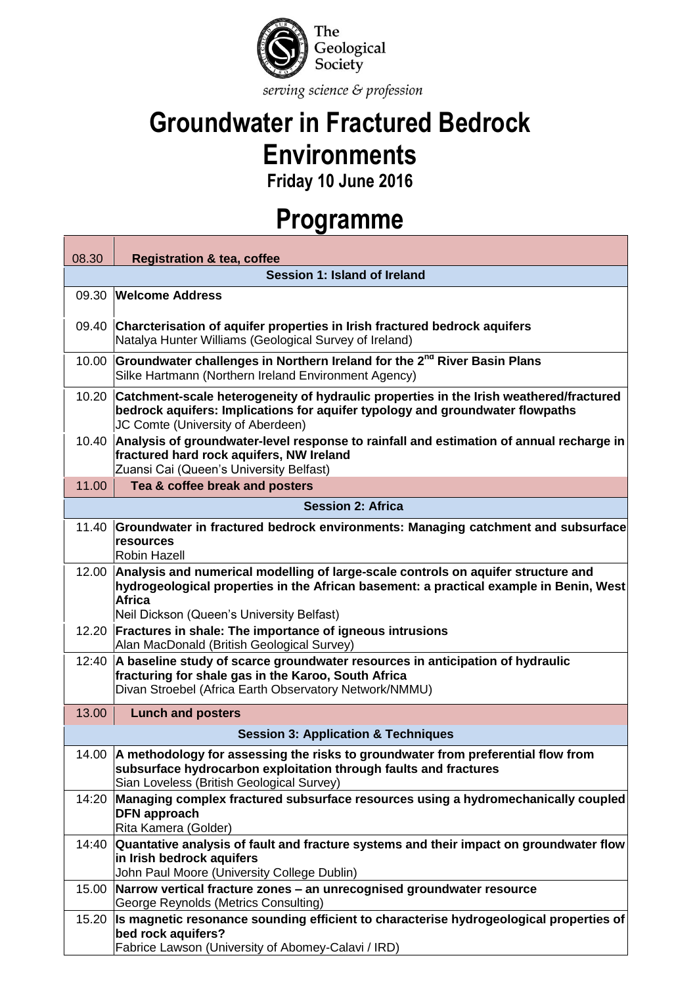

## **Groundwater in Fractured Bedrock Environments**

**Friday 10 June 2016**

## **Programme**

| 08.30                                          | <b>Registration &amp; tea, coffee</b>                                                                                                                                                                                                     |  |
|------------------------------------------------|-------------------------------------------------------------------------------------------------------------------------------------------------------------------------------------------------------------------------------------------|--|
| Session 1: Island of Ireland                   |                                                                                                                                                                                                                                           |  |
| 09.30                                          | <b>Welcome Address</b>                                                                                                                                                                                                                    |  |
| 09.40                                          | Charcterisation of aquifer properties in Irish fractured bedrock aquifers<br>Natalya Hunter Williams (Geological Survey of Ireland)                                                                                                       |  |
| 10.00                                          | Groundwater challenges in Northern Ireland for the 2 <sup>nd</sup> River Basin Plans<br>Silke Hartmann (Northern Ireland Environment Agency)                                                                                              |  |
| 10.20                                          | Catchment-scale heterogeneity of hydraulic properties in the Irish weathered/fractured<br>bedrock aquifers: Implications for aquifer typology and groundwater flowpaths<br>JC Comte (University of Aberdeen)                              |  |
| 10.40                                          | Analysis of groundwater-level response to rainfall and estimation of annual recharge in<br>fractured hard rock aquifers, NW Ireland<br>Zuansi Cai (Queen's University Belfast)                                                            |  |
| 11.00                                          | Tea & coffee break and posters                                                                                                                                                                                                            |  |
| <b>Session 2: Africa</b>                       |                                                                                                                                                                                                                                           |  |
| 11.40                                          | Groundwater in fractured bedrock environments: Managing catchment and subsurface<br>resources<br><b>Robin Hazell</b>                                                                                                                      |  |
| 12.00                                          | Analysis and numerical modelling of large-scale controls on aquifer structure and<br>hydrogeological properties in the African basement: a practical example in Benin, West<br><b>Africa</b><br>Neil Dickson (Queen's University Belfast) |  |
| 12.20                                          | Fractures in shale: The importance of igneous intrusions<br>Alan MacDonald (British Geological Survey)                                                                                                                                    |  |
| 12:40                                          | A baseline study of scarce groundwater resources in anticipation of hydraulic<br>fracturing for shale gas in the Karoo, South Africa<br>Divan Stroebel (Africa Earth Observatory Network/NMMU)                                            |  |
| 13.00                                          | <b>Lunch and posters</b>                                                                                                                                                                                                                  |  |
| <b>Session 3: Application &amp; Techniques</b> |                                                                                                                                                                                                                                           |  |
| 14.00                                          | A methodology for assessing the risks to groundwater from preferential flow from<br>subsurface hydrocarbon exploitation through faults and fractures<br>Sian Loveless (British Geological Survey)                                         |  |
| 14:20                                          | Managing complex fractured subsurface resources using a hydromechanically coupled<br><b>DFN</b> approach<br>Rita Kamera (Golder)                                                                                                          |  |
| 14:40                                          | Quantative analysis of fault and fracture systems and their impact on groundwater flow<br>in Irish bedrock aquifers<br>John Paul Moore (University College Dublin)                                                                        |  |
| 15.00                                          | Narrow vertical fracture zones - an unrecognised groundwater resource<br>George Reynolds (Metrics Consulting)                                                                                                                             |  |
| 15.20                                          | Is magnetic resonance sounding efficient to characterise hydrogeological properties of<br>bed rock aquifers?<br>Fabrice Lawson (University of Abomey-Calavi / IRD)                                                                        |  |